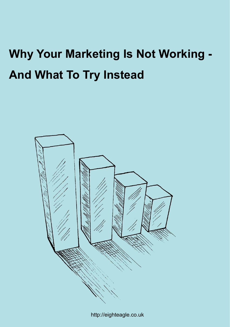# **Why Your Marketing Is Not Working - And What To Try Instead**



http://eighteagle.co.uk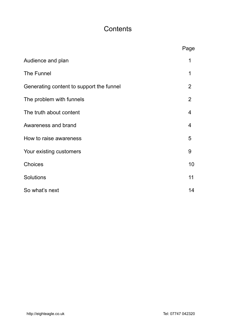# **Contents**

|                                          | Page           |
|------------------------------------------|----------------|
| Audience and plan                        | 1              |
| The Funnel                               | 1              |
| Generating content to support the funnel | 2              |
| The problem with funnels                 | $\overline{2}$ |
| The truth about content                  | 4              |
| Awareness and brand                      | $\overline{4}$ |
| How to raise awareness                   | 5              |
| Your existing customers                  | 9              |
| Choices                                  | 10             |
| Solutions                                | 11             |
| So what's next                           | 14             |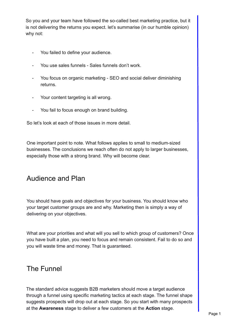So you and your team have followed the so-called best marketing practice, but it is not delivering the returns you expect. let's summarise (in our humble opinion) why not:

- You failed to define your audience.
- You use sales funnels Sales funnels don't work.
- You focus on organic marketing SEO and social deliver diminishing returns.
- Your content targeting is all wrong.
- You fail to focus enough on brand building.

So let's look at each of those issues in more detail.

One important point to note. What follows applies to small to medium-sized businesses. The conclusions we reach often do not apply to larger businesses, especially those with a strong brand. Why will become clear.

### Audience and Plan

You should have goals and objectives for your business. You should know who your target customer groups are and why. Marketing then is simply a way of delivering on your objectives.

What are your priorities and what will you sell to which group of customers? Once you have built a plan, you need to focus and remain consistent. Fail to do so and you will waste time and money. That is guaranteed.

### The Funnel

The standard advice suggests B2B marketers should move a target audience through a funnel using specific marketing tactics at each stage. The funnel shape suggests prospects will drop out at each stage. So you start with many prospects at the **Awareness** stage to deliver a few customers at the **Action** stage.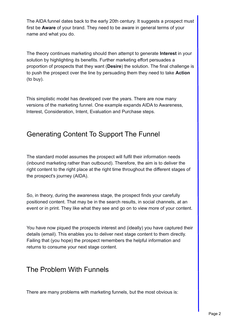The AIDA funnel dates back to the early 20th century. It suggests a prospect must first be **Aware** of your brand. They need to be aware in general terms of your name and what you do.

The theory continues marketing should then attempt to generate **Interest** in your solution by highlighting its benefits. Further marketing effort persuades a proportion of prospects that they want (**Desire**) the solution. The final challenge is to push the prospect over the line by persuading them they need to take **Action** (to buy).

This simplistic model has developed over the years. There are now many versions of the marketing funnel. One example expands AIDA to Awareness, Interest, Consideration, Intent, Evaluation and Purchase steps.

# Generating Content To Support The Funnel

The standard model assumes the prospect will fulfil their information needs (inbound marketing rather than outbound). Therefore, the aim is to deliver the right content to the right place at the right time throughout the different stages of the prospect's journey (AIDA).

So, in theory, during the awareness stage, the prospect finds your carefully positioned content. That may be in the search results, in social channels, at an event or in print. They like what they see and go on to view more of your content.

You have now piqued the prospects interest and (ideally) you have captured their details (email). This enables you to deliver next stage content to them directly. Failing that (you hope) the prospect remembers the helpful information and returns to consume your next stage content.

### The Problem With Funnels

There are many problems with marketing funnels, but the most obvious is: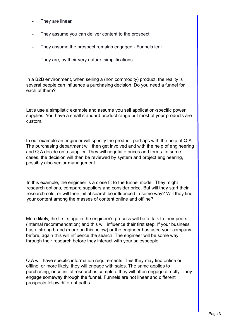- They are linear.
- They assume you can deliver content to the prospect.
- They assume the prospect remains engaged Funnels leak.
- They are, by their very nature, simplifications.

In a B2B environment, when selling a (non commodity) product, the reality is several people can influence a purchasing decision. Do you need a funnel for each of them?

Let's use a simplistic example and assume you sell application-specific power supplies. You have a small standard product range but most of your products are custom.

In our example an engineer will specify the product, perhaps with the help of Q.A. The purchasing department will then get involved and with the help of engineering and Q.A decide on a supplier. They will negotiate prices and terms. In some cases, the decision will then be reviewed by system and project engineering, possibly also senior management.

In this example, the engineer is a close fit to the funnel model. They might research options, compare suppliers and consider price. But will they start their research cold, or will their initial search be influenced in some way? Will they find your content among the masses of content online and offline?

More likely, the first stage in the engineer's process will be to talk to their peers (internal recommendation) and this will influence their first step. If your business has a strong brand (more on this below) or the engineer has used your company before, again this will influence the search. The engineer will be some way through their research before they interact with your salespeople.

Q.A will have specific information requirements. This they may find online or offline, or more likely, they will engage with sales. The same applies to purchasing, once initial research is complete they will often engage directly. They engage someway through the funnel. Funnels are not linear and different prospects follow different paths.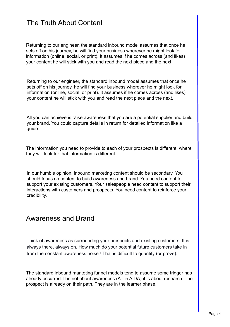# The Truth About Content

Returning to our engineer, the standard inbound model assumes that once he sets off on his journey, he will find your business wherever he might look for information (online, social, or print). It assumes if he comes across (and likes) your content he will stick with you and read the next piece and the next.

Returning to our engineer, the standard inbound model assumes that once he sets off on his journey, he will find your business wherever he might look for information (online, social, or print). It assumes if he comes across (and likes) your content he will stick with you and read the next piece and the next.

All you can achieve is raise awareness that you are a potential supplier and build your brand. You could capture details in return for detailed information like a guide.

The information you need to provide to each of your prospects is different, where they will look for that information is different.

In our humble opinion, inbound marketing content should be secondary. You should focus on content to build awareness and brand. You need content to support your existing customers. Your salespeople need content to support their interactions with customers and prospects. You need content to reinforce your credibility.

### Awareness and Brand

Think of awareness as surrounding your prospects and existing customers. It is always there, always on. How much do your potential future customers take in from the constant awareness noise? That is difficult to quantify (or prove).

The standard inbound marketing funnel models tend to assume some trigger has already occurred. It is not about awareness (A - in AIDA) it is about research. The prospect is already on their path. They are in the learner phase.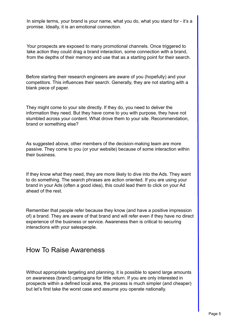In simple terms, your brand is your name, what you do, what you stand for - it's a promise. Ideally, it is an emotional connection.

Your prospects are exposed to many promotional channels. Once triggered to take action they could drag a brand interaction, some connection with a brand, from the depths of their memory and use that as a starting point for their search.

Before starting their research engineers are aware of you (hopefully) and your competitors. This influences their search. Generally, they are not starting with a blank piece of paper.

They might come to your site directly. If they do, you need to deliver the information they need. But they have come to you with purpose, they have not stumbled across your content. What drove them to your site. Recommendation, brand or something else?

As suggested above, other members of the decision-making team are more passive. They come to you (or your website) because of some interaction within their business.

If they know what they need, they are more likely to dive into the Ads. They want to do something. The search phrases are action oriented. If you are using your brand in your Ads (often a good idea), this could lead them to click on your Ad ahead of the rest.

Remember that people refer because they know (and have a positive impression of) a brand. They are aware of that brand and will refer even if they have no direct experience of the business or service. Awareness then is critical to securing interactions with your salespeople.

### How To Raise Awareness

Without appropriate targeting and planning, it is possible to spend large amounts on awareness (brand) campaigns for little return. If you are only interested in prospects within a defined local area, the process is much simpler (and cheaper) but let's first take the worst case and assume you operate nationally.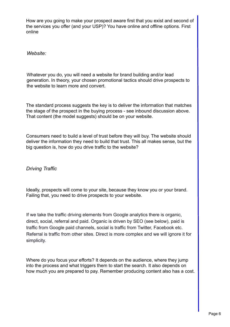How are you going to make your prospect aware first that you exist and second of the services you offer (and your USP)? You have online and offline options. First online

*Website:*

Whatever you do, you will need a website for brand building and/or lead generation. In theory, your chosen promotional tactics should drive prospects to the website to learn more and convert.

The standard process suggests the key is to deliver the information that matches the stage of the prospect in the buying process - see inbound discussion above. That content (the model suggests) should be on your website.

Consumers need to build a level of trust before they will buy. The website should deliver the information they need to build that trust. This all makes sense, but the big question is, how do you drive traffic to the website?

*Driving Traffic*

Ideally, prospects will come to your site, because they know you or your brand. Failing that, you need to drive prospects to your website.

If we take the traffic driving elements from Google analytics there is organic, direct, social, referral and paid. Organic is driven by SEO (see below), paid is traffic from Google paid channels, social is traffic from Twitter, Facebook etc. Referral is traffic from other sites. Direct is more complex and we will ignore it for simplicity.

Where do you focus your efforts? It depends on the audience, where they jump into the process and what triggers them to start the search. It also depends on how much you are prepared to pay. Remember producing content also has a cost.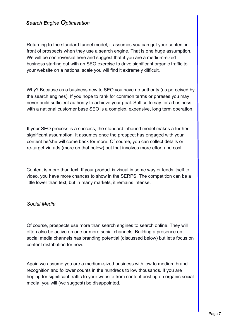Returning to the standard funnel model, it assumes you can get your content in front of prospects when they use a search engine. That is one huge assumption. We will be controversial here and suggest that if you are a medium-sized business starting out with an SEO exercise to drive significant organic traffic to your website on a national scale you will find it extremely difficult.

Why? Because as a business new to SEO you have no authority (as perceived by the search engines). If you hope to rank for common terms or phrases you may never build sufficient authority to achieve your goal. Suffice to say for a business with a national customer base SEO is a complex, expensive, long term operation.

If your SEO process is a success, the standard inbound model makes a further significant assumption. It assumes once the prospect has engaged with your content he/she will come back for more. Of course, you can collect details or re-target via ads (more on that below) but that involves more effort and cost.

Content is more than text. If your product is visual in some way or lends itself to video, you have more chances to show in the SERPS. The competition can be a little lower than text, but in many markets, it remains intense.

#### *Social Media*

Of course, prospects use more than search engines to search online. They will often also be active on one or more social channels. Building a presence on social media channels has branding potential (discussed below) but let's focus on content distribution for now.

Again we assume you are a medium-sized business with low to medium brand recognition and follower counts in the hundreds to low thousands. If you are hoping for significant traffic to your website from content posting on organic social media, you will (we suggest) be disappointed.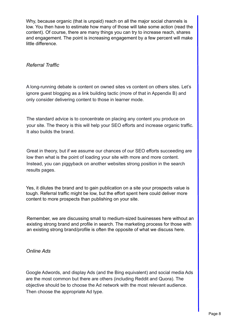Why, because organic (that is unpaid) reach on all the major social channels is low. You then have to estimate how many of those will take some action (read the content). Of course, there are many things you can try to increase reach, shares and engagement. The point is increasing engagement by a few percent will make little difference.

#### *Referral Traffic*

A long-running debate is content on owned sites vs content on others sites. Let's ignore guest blogging as a link building tactic (more of that in Appendix B) and only consider delivering content to those in learner mode.

The standard advice is to concentrate on placing any content you produce on your site. The theory is this will help your SEO efforts and increase organic traffic. It also builds the brand.

Great in theory, but if we assume our chances of our SEO efforts succeeding are low then what is the point of loading your site with more and more content. Instead, you can piggyback on another websites strong position in the search results pages.

Yes, it dilutes the brand and to gain publication on a site your prospects value is tough. Referral traffic might be low, but the effort spent here could deliver more content to more prospects than publishing on your site.

Remember, we are discussing small to medium-sized businesses here without an existing strong brand and profile in search. The marketing process for those with an existing strong brand/profile is often the opposite of what we discuss here.

#### *Online Ads*

Google Adwords, and display Ads (and the Bing equivalent) and social media Ads are the most common but there are others (including Reddit and Quora). The objective should be to choose the Ad network with the most relevant audience. Then choose the appropriate Ad type.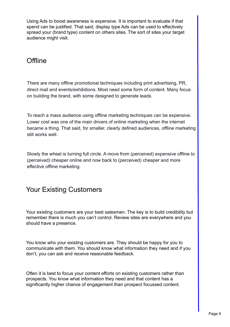Using Ads to boost awareness is expensive. It is important to evaluate if that spend can be justified. That said, display type Ads can be used to effectively spread your (brand type) content on others sites. The sort of sites your target audience might visit.

### **Offline**

There are many offline promotional techniques including print advertising, PR, direct mail and events/exhibitions. Most need some form of content. Many focus on building the brand, with some designed to generate leads.

To reach a mass audience using offline marketing techniques can be expensive. Lower cost was one of the main drivers of online marketing when the internet became a thing. That said, for smaller, clearly defined audiences, offline marketing still works well.

Slowly the wheel is turning full circle. A move from (perceived) expensive offline to (perceived) cheaper online and now back to (perceived) cheaper and more effective offline marketing.

# Your Existing Customers

Your existing customers are your best salesmen. The key is to build credibility but remember there is much you can't control. Review sites are everywhere and you should have a presence.

You know who your existing customers are. They should be happy for you to communicate with them. You should know what information they need and if you don't, you can ask and receive reasonable feedback.

Often it is best to focus your content efforts on existing customers rather than prospects. You know what information they need and that content has a significantly higher chance of engagement than prospect focussed content.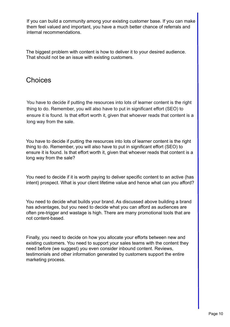If you can build a community among your existing customer base. If you can make them feel valued and important, you have a much better chance of referrals and internal recommendations.

The biggest problem with content is how to deliver it to your desired audience. That should not be an issue with existing customers.

### Choices

You have to decide if putting the resources into lots of learner content is the right thing to do. Remember, you will also have to put in significant effort (SEO) to ensure it is found. Is that effort worth it, given that whoever reads that content is a long way from the sale.

You have to decide if putting the resources into lots of learner content is the right thing to do. Remember, you will also have to put in significant effort (SEO) to ensure it is found. Is that effort worth it, given that whoever reads that content is a long way from the sale?

You need to decide if it is worth paying to deliver specific content to an active (has intent) prospect. What is your client lifetime value and hence what can you afford?

You need to decide what builds your brand. As discussed above building a brand has advantages, but you need to decide what you can afford as audiences are often pre-trigger and wastage is high. There are many promotional tools that are not content-based.

Finally, you need to decide on how you allocate your efforts between new and existing customers. You need to support your sales teams with the content they need before (we suggest) you even consider inbound content. Reviews, testimonials and other information generated by customers support the entire marketing process.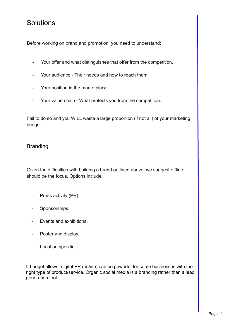## **Solutions**

Before working on brand and promotion, you need to understand:

- Your offer and what distinguishes that offer from the competition.
- Your audience Their needs and how to reach them.
- Your position in the marketplace.
- Your value chain What protects you from the competition.

Fail to do so and you WILL waste a large proportion (if not all) of your marketing budget.

#### Branding

Given the difficulties with building a brand outlined above, we suggest offline should be the focus. Options include:

- Press activity (PR).
- Sponsorships.
- Events and exhibitions.
- Poster and display.
- Location specific.

If budget allows, digital PR (online) can be powerful for some businesses with the right type of product/service. Organic social media is a branding rather than a lead generation tool.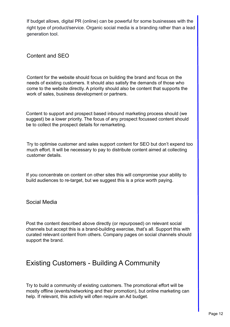If budget allows, digital PR (online) can be powerful for some businesses with the right type of product/service. Organic social media is a branding rather than a lead generation tool.

Content and SEO

Content for the website should focus on building the brand and focus on the needs of existing customers. It should also satisfy the demands of those who come to the website directly. A priority should also be content that supports the work of sales, business development or partners.

Content to support and prospect based inbound marketing process should (we suggest) be a lower priority. The focus of any prospect focussed content should be to collect the prospect details for remarketing.

Try to optimise customer and sales support content for SEO but don't expend too much effort. It will be necessary to pay to distribute content aimed at collecting customer details.

If you concentrate on content on other sites this will compromise your ability to build audiences to re-target, but we suggest this is a price worth paying.

Social Media

Post the content described above directly (or repurposed) on relevant social channels but accept this is a brand-building exercise, that's all. Support this with curated relevant content from others. Company pages on social channels should support the brand.

# Existing Customers - Building A Community

Try to build a community of existing customers. The promotional effort will be mostly offline (events/networking and their promotion), but online marketing can help. If relevant, this activity will often require an Ad budget.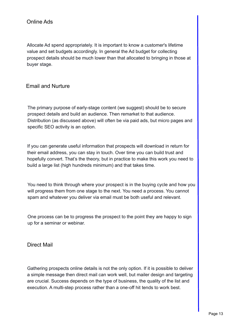Allocate Ad spend appropriately. It is important to know a customer's lifetime value and set budgets accordingly. In general the Ad budget for collecting prospect details should be much lower than that allocated to bringing in those at buyer stage.

#### Email and Nurture

The primary purpose of early-stage content (we suggest) should be to secure prospect details and build an audience. Then remarket to that audience. Distribution (as discussed above) will often be via paid ads, but micro pages and specific SEO activity is an option.

If you can generate useful information that prospects will download in return for their email address, you can stay in touch. Over time you can build trust and hopefully convert. That's the theory, but in practice to make this work you need to build a large list (high hundreds minimum) and that takes time.

You need to think through where your prospect is in the buying cycle and how you will progress them from one stage to the next. You need a process. You cannot spam and whatever you deliver via email must be both useful and relevant.

One process can be to progress the prospect to the point they are happy to sign up for a seminar or webinar.

Direct Mail

Gathering prospects online details is not the only option. If it is possible to deliver a simple message then direct mail can work well, but mailer design and targeting are crucial. Success depends on the type of business, the quality of the list and execution. A multi-step process rather than a one-off hit tends to work best.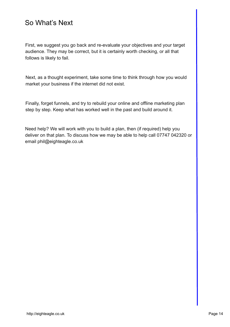# So What's Next

First, we suggest you go back and re-evaluate your objectives and your target audience. They may be correct, but it is certainly worth checking, or all that follows is likely to fail.

Next, as a thought experiment, take some time to think through how you would market your business if the internet did not exist.

Finally, forget funnels, and try to rebuild your online and offline marketing plan step by step. Keep what has worked well in the past and build around it.

Need help? We will work with you to build a plan, then (if required) help you deliver on that plan. To discuss how we may be able to help call 07747 042320 or email phil@eighteagle.co.uk